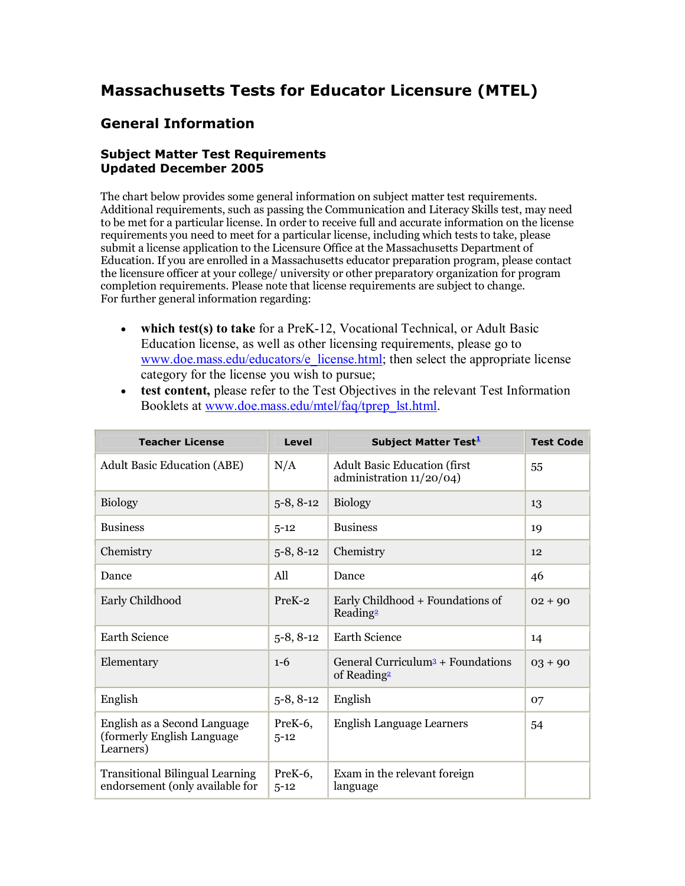# **Massachusetts Tests for Educator Licensure (MTEL)**

# **General Information**

# **Subject Matter Test Requirements Updated December 2005**

The chart below provides some general information on subject matter test requirements. Additional requirements, such as passing the Communication and Literacy Skills test, may need to be met for a particular license. In order to receive full and accurate information on the license requirements you need to meet for a particular license, including which tests to take, please submit a license application to the Licensure Office at the Massachusetts Department of Education. If you are enrolled in a Massachusetts educator preparation program, please contact the licensure officer at your college/ university or other preparatory organization for program completion requirements. Please note that license requirements are subject to change. For further general information regarding:

- **which test(s) to take** for a PreK-12, Vocational Technical, or Adult Basic Education license, as well as other licensing requirements, please go to [www.doe.mass.edu/educators/e\\_license.html](http://www.doe.mass.edu/educators/e_license.html); then select the appropriate license category for the license you wish to pursue;
- · **test content,** please refer to the Test Objectives in the relevant Test Information Booklets at [www.doe.mass.edu/mtel/faq/tprep\\_lst.html.](http://www.doe.mass.edu/mtel/faq/tprep_lst.html)

| <b>Teacher License</b>                                                    | Level               | Subject Matter Test <sup>1</sup>                                         | <b>Test Code</b> |
|---------------------------------------------------------------------------|---------------------|--------------------------------------------------------------------------|------------------|
| <b>Adult Basic Education (ABE)</b>                                        | N/A                 | <b>Adult Basic Education (first</b><br>administration 11/20/04)          | 55               |
| <b>Biology</b>                                                            | $5-8, 8-12$         | <b>Biology</b>                                                           | 13               |
| <b>Business</b>                                                           | $5 - 12$            | <b>Business</b>                                                          | 19               |
| Chemistry                                                                 | $5-8, 8-12$         | Chemistry                                                                | 12               |
| Dance                                                                     | All                 | Dance                                                                    | 46               |
| Early Childhood                                                           | PreK-2              | Early Childhood + Foundations of<br>Reading <sup>2</sup>                 | $02 + 90$        |
| <b>Earth Science</b>                                                      | $5-8, 8-12$         | Earth Science                                                            | 14               |
| Elementary                                                                | $1 - 6$             | General Curriculum <sup>3</sup> + Foundations<br>of Reading <sup>2</sup> | $03 + 90$        |
| English                                                                   | $5-8, 8-12$         | English                                                                  | 07               |
| English as a Second Language<br>(formerly English Language<br>Learners)   | PreK-6,<br>$5 - 12$ | <b>English Language Learners</b>                                         | 54               |
| <b>Transitional Bilingual Learning</b><br>endorsement (only available for | PreK-6,<br>$5 - 12$ | Exam in the relevant foreign<br>language                                 |                  |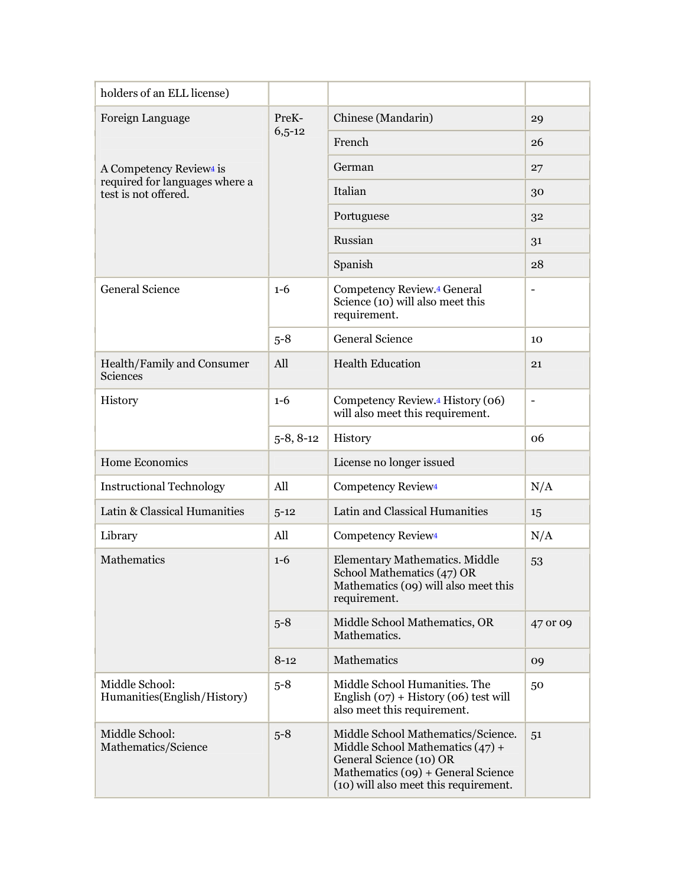| holders of an ELL license)                             |             |                                                                                                                                                                                    |                              |
|--------------------------------------------------------|-------------|------------------------------------------------------------------------------------------------------------------------------------------------------------------------------------|------------------------------|
| Foreign Language                                       | PreK-       | Chinese (Mandarin)                                                                                                                                                                 | 29                           |
|                                                        | $6,5-12$    | French                                                                                                                                                                             | 26                           |
| A Competency Review <sup>4</sup> is                    |             | German                                                                                                                                                                             | 27                           |
| required for languages where a<br>test is not offered. |             | Italian                                                                                                                                                                            | 30                           |
|                                                        |             | Portuguese                                                                                                                                                                         | 32                           |
|                                                        |             | Russian                                                                                                                                                                            | 31                           |
|                                                        |             | Spanish                                                                                                                                                                            | 28                           |
| <b>General Science</b>                                 | $1-6$       | Competency Review. <sup>4</sup> General<br>Science (10) will also meet this<br>requirement.                                                                                        | $\qquad \qquad \blacksquare$ |
|                                                        | $5 - 8$     | <b>General Science</b>                                                                                                                                                             | 10                           |
| Health/Family and Consumer<br>Sciences                 | All         | <b>Health Education</b>                                                                                                                                                            | 21                           |
| History                                                | $1 - 6$     | Competency Review.4 History (06)<br>will also meet this requirement.                                                                                                               | $\overline{\phantom{a}}$     |
|                                                        | $5-8, 8-12$ | History                                                                                                                                                                            | 06                           |
| Home Economics                                         |             | License no longer issued                                                                                                                                                           |                              |
| <b>Instructional Technology</b>                        | All         | Competency Review <sup>4</sup>                                                                                                                                                     | N/A                          |
| Latin & Classical Humanities                           | $5 - 12$    | Latin and Classical Humanities                                                                                                                                                     | 15                           |
| Library                                                | All         | Competency Review <sup>4</sup>                                                                                                                                                     | N/A                          |
| <b>Mathematics</b>                                     | $1 - 6$     | Elementary Mathematics. Middle<br>School Mathematics (47) OR<br>Mathematics (09) will also meet this<br>requirement.                                                               | 53                           |
|                                                        | $5 - 8$     | Middle School Mathematics, OR<br>Mathematics.                                                                                                                                      | 47 or 09                     |
|                                                        | $8 - 12$    | Mathematics                                                                                                                                                                        | 09                           |
| Middle School:<br>Humanities(English/History)          | $5 - 8$     | Middle School Humanities. The<br>English $(07)$ + History (06) test will<br>also meet this requirement.                                                                            | 50                           |
| Middle School:<br>Mathematics/Science                  | $5 - 8$     | Middle School Mathematics/Science.<br>Middle School Mathematics $(47) +$<br>General Science (10) OR<br>Mathematics (09) + General Science<br>(10) will also meet this requirement. | 51                           |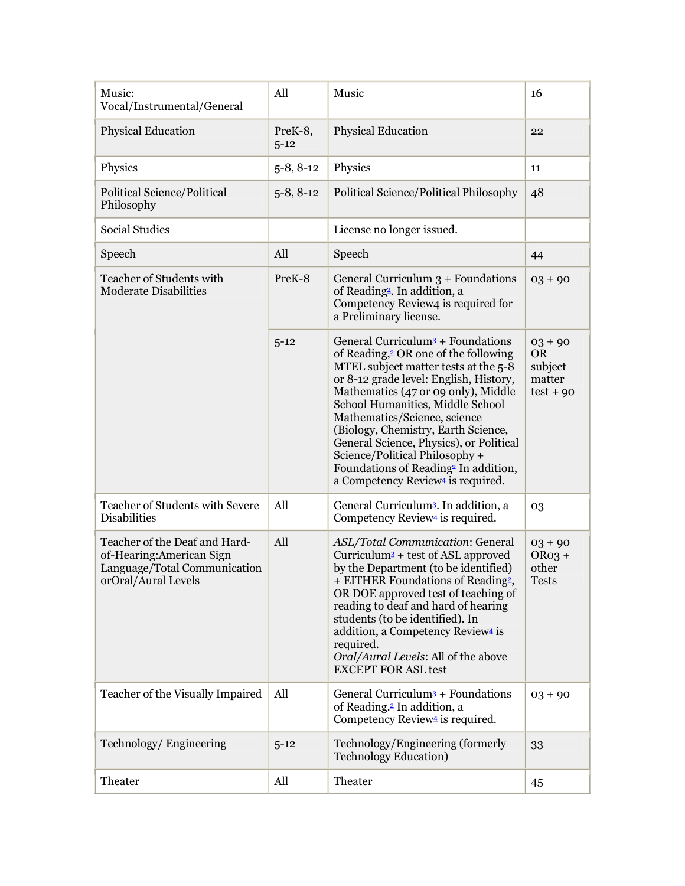| Music:<br>Vocal/Instrumental/General                                                                             | All                 | Music                                                                                                                                                                                                                                                                                                                                                                                                                                                                                                                   | 16                                                         |
|------------------------------------------------------------------------------------------------------------------|---------------------|-------------------------------------------------------------------------------------------------------------------------------------------------------------------------------------------------------------------------------------------------------------------------------------------------------------------------------------------------------------------------------------------------------------------------------------------------------------------------------------------------------------------------|------------------------------------------------------------|
| <b>Physical Education</b>                                                                                        | PreK-8,<br>$5 - 12$ | <b>Physical Education</b>                                                                                                                                                                                                                                                                                                                                                                                                                                                                                               | 22                                                         |
| Physics                                                                                                          | $5-8, 8-12$         | Physics                                                                                                                                                                                                                                                                                                                                                                                                                                                                                                                 | 11                                                         |
| Political Science/Political<br>Philosophy                                                                        | $5 - 8, 8 - 12$     | Political Science/Political Philosophy                                                                                                                                                                                                                                                                                                                                                                                                                                                                                  | 48                                                         |
| <b>Social Studies</b>                                                                                            |                     | License no longer issued.                                                                                                                                                                                                                                                                                                                                                                                                                                                                                               |                                                            |
| Speech                                                                                                           | All                 | Speech                                                                                                                                                                                                                                                                                                                                                                                                                                                                                                                  | 44                                                         |
| Teacher of Students with<br><b>Moderate Disabilities</b>                                                         | PreK-8              | General Curriculum $3 +$ Foundations<br>of Reading <sup>2</sup> . In addition, a<br>Competency Review4 is required for<br>a Preliminary license.                                                                                                                                                                                                                                                                                                                                                                        | $03 + 90$                                                  |
|                                                                                                                  | $5 - 12$            | General Curriculum <sup>3</sup> + Foundations<br>of Reading, <sup>2</sup> OR one of the following<br>MTEL subject matter tests at the 5-8<br>or 8-12 grade level: English, History,<br>Mathematics (47 or 09 only), Middle<br>School Humanities, Middle School<br>Mathematics/Science, science<br>(Biology, Chemistry, Earth Science,<br>General Science, Physics), or Political<br>Science/Political Philosophy +<br>Foundations of Reading <sup>2</sup> In addition,<br>a Competency Review <sup>4</sup> is required. | $03 + 90$<br><b>OR</b><br>subject<br>matter<br>$test + 90$ |
| Teacher of Students with Severe<br><b>Disabilities</b>                                                           | All                 | General Curriculum <sup>3</sup> . In addition, a<br>Competency Review <sup>4</sup> is required.                                                                                                                                                                                                                                                                                                                                                                                                                         | 03                                                         |
| Teacher of the Deaf and Hard-<br>of-Hearing:American Sign<br>Language/Total Communication<br>orOral/Aural Levels | All                 | ASL/Total Communication: General<br>$Curriculum3 + test of ASL approved$<br>by the Department (to be identified)<br>+ EITHER Foundations of Reading <sup>2</sup><br>OR DOE approved test of teaching of<br>reading to deaf and hard of hearing<br>students (to be identified). In<br>addition, a Competency Review <sup>4</sup> is<br>required.<br>Oral/Aural Levels: All of the above<br><b>EXCEPT FOR ASL test</b>                                                                                                    | $03 + 90$<br>$ORo3 +$<br>other<br><b>Tests</b>             |
| Teacher of the Visually Impaired                                                                                 | All                 | General Curriculum <sup>3</sup> + Foundations<br>of Reading. <sup>2</sup> In addition, a<br>Competency Review <sup>4</sup> is required.                                                                                                                                                                                                                                                                                                                                                                                 | $03 + 90$                                                  |
| Technology/Engineering                                                                                           | $5 - 12$            | Technology/Engineering (formerly<br><b>Technology Education</b> )                                                                                                                                                                                                                                                                                                                                                                                                                                                       | 33                                                         |
| Theater                                                                                                          | All                 | Theater                                                                                                                                                                                                                                                                                                                                                                                                                                                                                                                 | 45                                                         |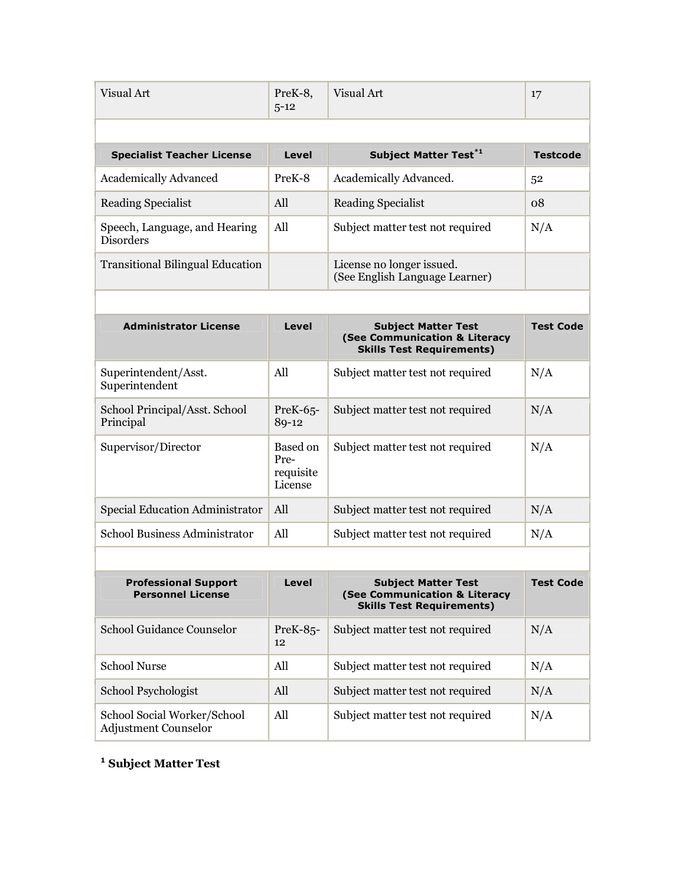| Visual Art                                        | PreK-8.<br>$5 - 12$ | Visual Art                                                  | 17              |
|---------------------------------------------------|---------------------|-------------------------------------------------------------|-----------------|
| <b>Specialist Teacher License</b>                 | Level               | <b>Subject Matter Test<sup>*1</sup></b>                     | <b>Testcode</b> |
| <b>Academically Advanced</b>                      | PreK-8              | Academically Advanced.                                      | 52              |
| Reading Specialist                                | All                 | Reading Specialist                                          | 08              |
| Speech, Language, and Hearing<br><b>Disorders</b> | All                 | Subject matter test not required                            | N/A             |
| <b>Transitional Bilingual Education</b>           |                     | License no longer issued.<br>(See English Language Learner) |                 |

| <b>Administrator License</b>               | Level                                    | <b>Subject Matter Test</b><br>(See Communication & Literacy<br><b>Skills Test Requirements)</b> | <b>Test Code</b> |
|--------------------------------------------|------------------------------------------|-------------------------------------------------------------------------------------------------|------------------|
| Superintendent/Asst.<br>Superintendent     | All                                      | Subject matter test not required                                                                | N/A              |
| School Principal/Asst. School<br>Principal | $PreK-65$<br>89-12                       | Subject matter test not required                                                                | N/A              |
| Supervisor/Director                        | Based on<br>Pre-<br>requisite<br>License | Subject matter test not required                                                                | N/A              |
| Special Education Administrator            | All                                      | Subject matter test not required                                                                | N/A              |
| School Business Administrator              | All                                      | Subject matter test not required                                                                | N/A              |
|                                            |                                          |                                                                                                 |                  |

| <b>Professional Support</b><br><b>Personnel License</b>    | Level             | <b>Subject Matter Test</b><br>(See Communication & Literacy<br><b>Skills Test Requirements)</b> | <b>Test Code</b> |
|------------------------------------------------------------|-------------------|-------------------------------------------------------------------------------------------------|------------------|
| School Guidance Counselor                                  | $PreK-85$ -<br>12 | Subject matter test not required                                                                | N/A              |
| School Nurse                                               | All               | Subject matter test not required                                                                | N/A              |
| School Psychologist                                        | All               | Subject matter test not required                                                                | N/A              |
| School Social Worker/School<br><b>Adjustment Counselor</b> | All               | Subject matter test not required                                                                | N/A              |

**<sup>1</sup> Subject Matter Test**